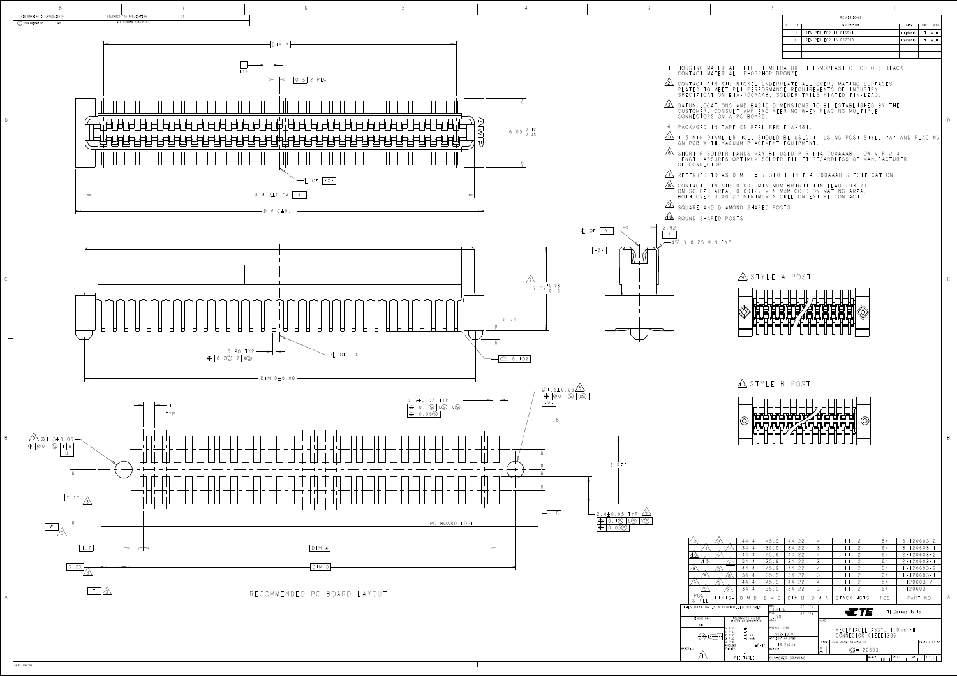

D

B

4805 (3/13)

|               | $\overline{c}$                                                                                                                                                                       |          |                       |                  |                               |      |
|---------------|--------------------------------------------------------------------------------------------------------------------------------------------------------------------------------------|----------|-----------------------|------------------|-------------------------------|------|
|               |                                                                                                                                                                                      |          | <b>REVISIONS</b>      |                  |                               |      |
|               |                                                                                                                                                                                      | LTR      | <b>DESCRIPTION</b>    | DATE             | <b>DWN</b>                    | APVD |
|               |                                                                                                                                                                                      | $\perp$  | REV PER ECR-14-016951 | <b>IIFEB2015</b> | $\mathsf{L} \cdot \mathsf{T}$ | W.H  |
|               |                                                                                                                                                                                      | $J\perp$ | REV PER ECR-15-007309 | 12MAY2015        | $\mathsf{I}$ . T              | W.H  |
|               |                                                                                                                                                                                      |          |                       |                  |                               |      |
|               |                                                                                                                                                                                      |          |                       |                  |                               |      |
|               | T. HOUSING MATERIAL: HIGH TEMPERATURE THERMOPLASTIC. COLOR; BLACK.<br>CONTACT MATERIAL: PHOSPHOR BRONZE.                                                                             |          |                       |                  |                               |      |
|               | 2 CONTACT FINISH: NICKEL UNDERPLATE ALL OVER, MATING SURFACES<br>PLATED TO MEET PLI PERFORMANCE REQUIREMENTS OF INDUSTRY<br>SPECIFICATION EIA-700AAAB, SOLDER TAILS PLATED TIN-LEAD. |          |                       |                  |                               |      |
| $3\backslash$ | DATUM LOCATIONS AND BASIC DIMENSIONS TO BE ESTABLISHED BY THE<br>CUSTOMER, CONSULT AMP ENGINEERING WHEN PLACING MULTIPLE<br>CONNECTORS ON A PC BOARD.                                |          |                       |                  |                               |      |
|               | 4. PACKAGED IN TAPE ON REEL PER EIA-481.                                                                                                                                             |          |                       |                  |                               |      |
| $\sqrt{5}$    | I.5 MIN DIAMETER HOLE SHOULD BE USED IF USING POST STYLE "A" AND PLACING<br>ON PCB WITH VACUUM PLACEMENT EQUIPMENT.                                                                  |          |                       |                  |                               |      |
| $\sqrt{6}$    | SHORTER SOLDER LANDS MAY BE USED PER EIA 700AAAB, HOWEVER 2.4<br>LENGTH ASSURES OPTIMUM SOLDER FILLET REGARDLESS OF MANUFACTURER<br>OF CONNECTOR.                                    |          |                       |                  |                               |      |
| $\gamma$      | REFERRED TO AS DIM H = $7.3\pm0.1$ IN EIA 700AAAB SPECIFICATION.                                                                                                                     |          |                       |                  |                               |      |
|               | 8 CONTACT FINISH: 0.002 MINIMUM BRIGHT TIN-LEAD (93-7)<br>ON SOLDER AREA, 0.00127 MINIMUM GOLD ON MATING AREA,<br>BOTH OVER 0.00127 MINIMUM NICKEL ON ENTIRE CONTACT.                |          |                       |                  |                               |      |
|               | $\sqrt{9}$ square and diamond shaped posts                                                                                                                                           |          |                       |                  |                               |      |
| $(\alpha)$    | ROUND SHAPED POSTS                                                                                                                                                                   |          |                       |                  |                               |      |

|                                                                                         | 44.4<br>′8`                                                                    |                                                                                                          |                                           | 45.9          | 44.22                 | 4                                                 |             | 11, 12    |               | 84            |       | $3 - 120603 - 2$ |               |
|-----------------------------------------------------------------------------------------|--------------------------------------------------------------------------------|----------------------------------------------------------------------------------------------------------|-------------------------------------------|---------------|-----------------------|---------------------------------------------------|-------------|-----------|---------------|---------------|-------|------------------|---------------|
|                                                                                         |                                                                                | 8`                                                                                                       | 34.4                                      | 35.9          | 34.22                 | 31                                                |             |           | 11, 12        | 64            |       | $3 - 120603 - 1$ |               |
|                                                                                         |                                                                                |                                                                                                          | 44.4                                      | 45.9          | 44.22                 | 4                                                 |             |           | 11, 12        | 84            |       | $2 - 120603 - 2$ |               |
| $\circledcirc$                                                                          |                                                                                |                                                                                                          | 34.4                                      | 35.9          | 34.22                 | $\overline{3}$                                    |             |           | 11, 12        | 64            |       | $2 - 120603 - 1$ |               |
|                                                                                         | ′8`                                                                            |                                                                                                          | 44.4                                      | 45.9          | 44.22                 | 4                                                 |             |           | 11, 12        | 84            |       | $-120603-2$      |               |
| ′९`                                                                                     |                                                                                | 8)                                                                                                       | 34.4                                      | 35.9          | 34.22                 | 31                                                |             |           | 11, 12        | 64            |       | $-120603-1$      |               |
|                                                                                         |                                                                                |                                                                                                          | 44.4                                      | 45.9          | 44.22                 | 4                                                 |             |           | 11, 12        | 84            |       |                  | $120603 - 2$  |
| ∕ ु`                                                                                    |                                                                                |                                                                                                          | 34.4                                      | 35.9          | 34.22                 | 31                                                |             |           | 11, 12        | 64            |       | $120603 - 1$     |               |
| POST<br>TYLE                                                                            | FINISH                                                                         |                                                                                                          | $D$ $M$ $D$                               | $D$   M $C$   | M B<br>D <sub>1</sub> |                                                   | $D$   M $A$ |           | STACK HGTS    | POS           |       | PART NO          |               |
| 2/17/97<br>DWN<br>DRAWING IS A CONTROLLED DOCUMENT.<br>J.REED<br>2/17/97<br>CHK<br>. VQ |                                                                                |                                                                                                          |                                           |               |                       |                                                   |             |           | ETE           |               |       | TE Connectivity  |               |
| <b>IMENSIONS:</b>                                                                       |                                                                                |                                                                                                          | TOLERANCES UNLESS<br>OTHERWISE SPECIFIED: | APVD          |                       |                                                   | NAME        |           |               |               |       |                  |               |
| mm                                                                                      |                                                                                | PRODUCT SPEC<br>0 PLC<br>$\pm$ -<br>PLC<br>$\pm$ -<br>$502 - 1079$<br>2 PLC<br>±0.03<br>APPLICATION SPEC |                                           |               |                       | RECEPTACLE ASSY, I.Omm FH<br>CONNECTOR (IEEE1386) |             |           |               |               |       |                  |               |
|                                                                                         | PLC<br>±0.003<br>4 PLC<br>$+ -$<br>$\pm 0^{\circ}$ - $\pm 1^{\circ}$<br>ANGIFS |                                                                                                          |                                           |               | $114 - 25045$         |                                                   |             | CAGE CODE | DRAWING NO    |               |       |                  | RESTRICTED TO |
|                                                                                         |                                                                                | FINISH                                                                                                   |                                           | <b>WEIGHT</b> |                       |                                                   |             |           | $ C - 120603$ |               |       |                  |               |
|                                                                                         |                                                                                |                                                                                                          | SEE TABLE                                 |               | CUSTOMER DRAWING      |                                                   |             |           |               | SCALE<br> 0:1 | SHEET | OF               | RE V          |